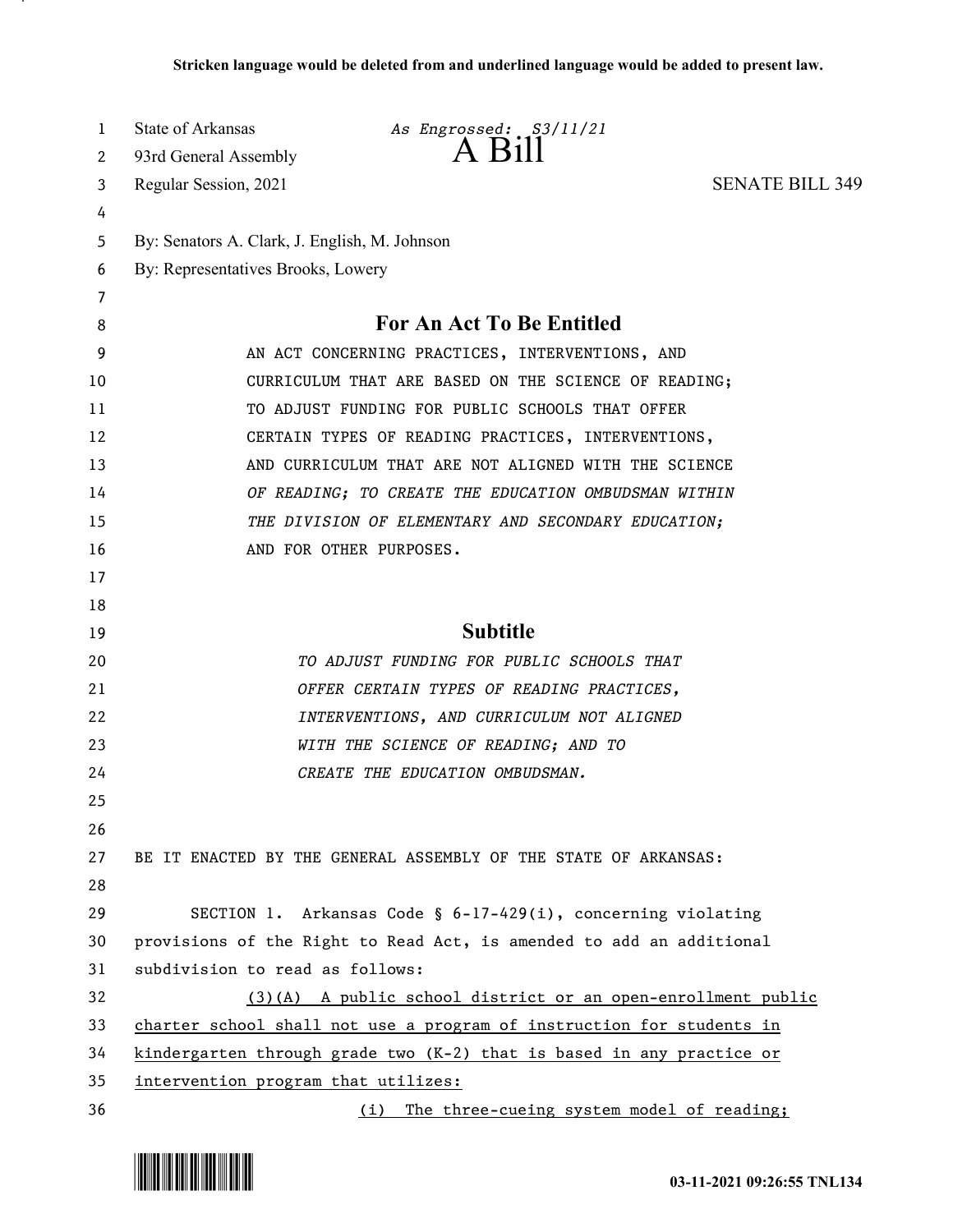| 1      | State of Arkansas                             | As Engrossed: S3/11/21<br>A Bill                                        |                        |
|--------|-----------------------------------------------|-------------------------------------------------------------------------|------------------------|
| 2      | 93rd General Assembly                         |                                                                         |                        |
| 3      | Regular Session, 2021                         |                                                                         | <b>SENATE BILL 349</b> |
| 4      |                                               |                                                                         |                        |
| 5      | By: Senators A. Clark, J. English, M. Johnson |                                                                         |                        |
| 6      | By: Representatives Brooks, Lowery            |                                                                         |                        |
| 7<br>8 |                                               | <b>For An Act To Be Entitled</b>                                        |                        |
| 9      |                                               | AN ACT CONCERNING PRACTICES, INTERVENTIONS, AND                         |                        |
| 10     |                                               | CURRICULUM THAT ARE BASED ON THE SCIENCE OF READING;                    |                        |
| 11     |                                               | TO ADJUST FUNDING FOR PUBLIC SCHOOLS THAT OFFER                         |                        |
| 12     |                                               | CERTAIN TYPES OF READING PRACTICES, INTERVENTIONS,                      |                        |
| 13     |                                               | AND CURRICULUM THAT ARE NOT ALIGNED WITH THE SCIENCE                    |                        |
| 14     |                                               | OF READING; TO CREATE THE EDUCATION OMBUDSMAN WITHIN                    |                        |
| 15     |                                               | THE DIVISION OF ELEMENTARY AND SECONDARY EDUCATION;                     |                        |
| 16     |                                               | AND FOR OTHER PURPOSES.                                                 |                        |
| 17     |                                               |                                                                         |                        |
| 18     |                                               |                                                                         |                        |
| 19     |                                               | <b>Subtitle</b>                                                         |                        |
| 20     |                                               | TO ADJUST FUNDING FOR PUBLIC SCHOOLS THAT                               |                        |
| 21     |                                               | OFFER CERTAIN TYPES OF READING PRACTICES,                               |                        |
| 22     |                                               | INTERVENTIONS, AND CURRICULUM NOT ALIGNED                               |                        |
| 23     |                                               | WITH THE SCIENCE OF READING; AND TO                                     |                        |
| 24     |                                               | CREATE THE EDUCATION OMBUDSMAN.                                         |                        |
| 25     |                                               |                                                                         |                        |
| 26     |                                               |                                                                         |                        |
| 27     |                                               | BE IT ENACTED BY THE GENERAL ASSEMBLY OF THE STATE OF ARKANSAS:         |                        |
| 28     |                                               |                                                                         |                        |
| 29     |                                               | SECTION 1. Arkansas Code § 6-17-429(i), concerning violating            |                        |
| 30     |                                               | provisions of the Right to Read Act, is amended to add an additional    |                        |
| 31     | subdivision to read as follows:               |                                                                         |                        |
| 32     |                                               | $(3)(A)$ A public school district or an open-enrollment public          |                        |
| 33     |                                               | charter school shall not use a program of instruction for students in   |                        |
| 34     |                                               | kindergarten through grade two $(K-2)$ that is based in any practice or |                        |
| 35     | intervention program that utilizes:           |                                                                         |                        |
| 36     |                                               | (i) The three-cueing system model of reading;                           |                        |

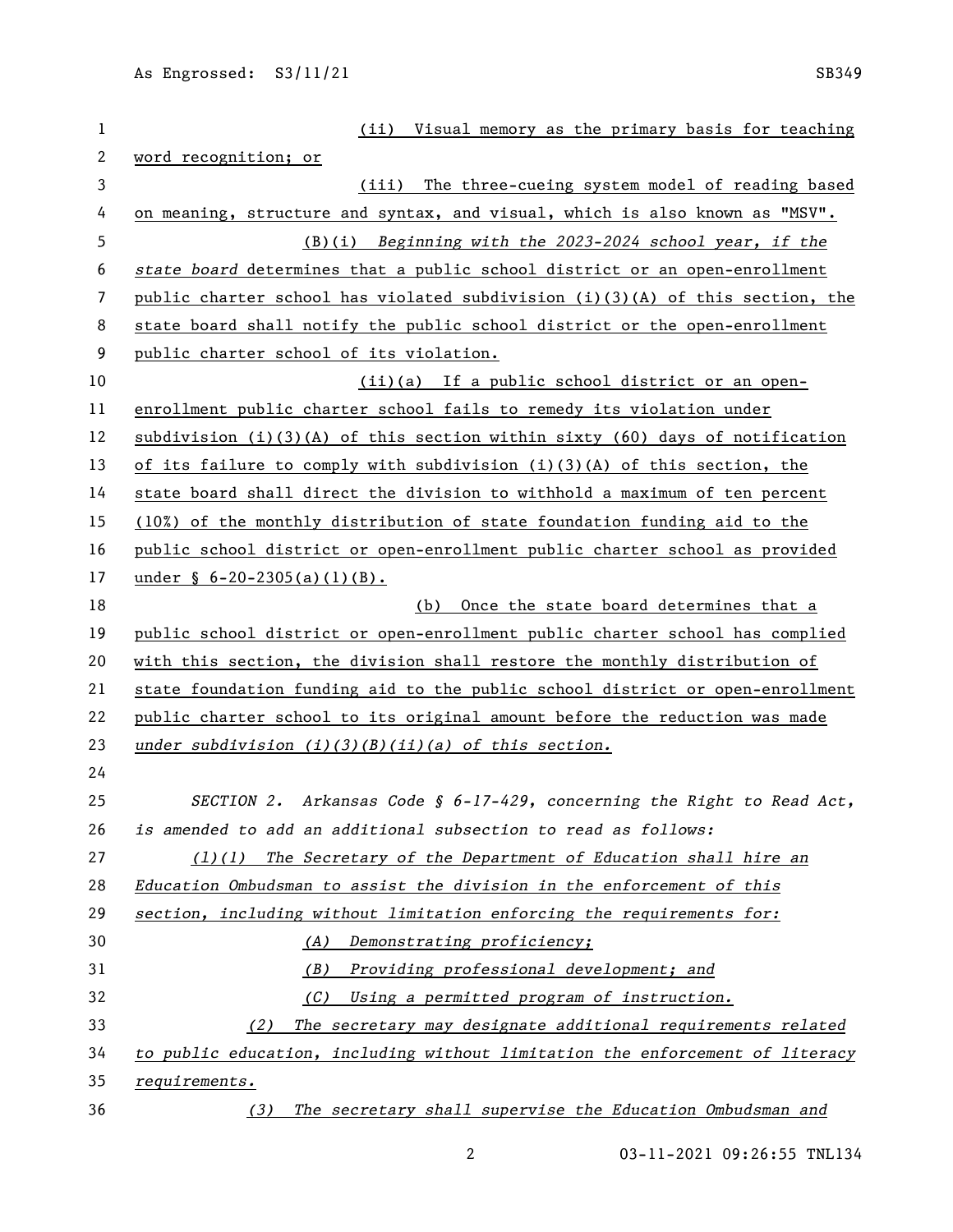| 1  | Visual memory as the primary basis for teaching<br>(iii)                       |  |  |  |
|----|--------------------------------------------------------------------------------|--|--|--|
| 2  | word recognition; or                                                           |  |  |  |
| 3  | The three-cueing system model of reading based<br>(iii)                        |  |  |  |
| 4  | on meaning, structure and syntax, and visual, which is also known as "MSV".    |  |  |  |
| 5  | $(B)(i)$ Beginning with the 2023-2024 school year, if the                      |  |  |  |
| 6  | state board determines that a public school district or an open-enrollment     |  |  |  |
| 7  | public charter school has violated subdivision (i)(3)(A) of this section, the  |  |  |  |
| 8  | state board shall notify the public school district or the open-enrollment     |  |  |  |
| 9  | public charter school of its violation.                                        |  |  |  |
| 10 | (ii)(a) If a public school district or an open-                                |  |  |  |
| 11 | enrollment public charter school fails to remedy its violation under           |  |  |  |
| 12 | subdivision $(i)(3)(A)$ of this section within sixty (60) days of notification |  |  |  |
| 13 | of its failure to comply with subdivision $(i)(3)(A)$ of this section, the     |  |  |  |
| 14 | state board shall direct the division to withhold a maximum of ten percent     |  |  |  |
| 15 | (10%) of the monthly distribution of state foundation funding aid to the       |  |  |  |
| 16 | public school district or open-enrollment public charter school as provided    |  |  |  |
| 17 | under $\S$ 6-20-2305(a)(1)(B).                                                 |  |  |  |
| 18 | (b) Once the state board determines that a                                     |  |  |  |
| 19 | public school district or open-enrollment public charter school has complied   |  |  |  |
| 20 | with this section, the division shall restore the monthly distribution of      |  |  |  |
| 21 | state foundation funding aid to the public school district or open-enrollment  |  |  |  |
| 22 | public charter school to its original amount before the reduction was made     |  |  |  |
| 23 | under subdivision $(i)(3)(B)(ii)(a)$ of this section.                          |  |  |  |
| 24 |                                                                                |  |  |  |
| 25 | SECTION 2. Arkansas Code § $6-17-429$ , concerning the Right to Read Act,      |  |  |  |
| 26 | is amended to add an additional subsection to read as follows:                 |  |  |  |
| 27 | $(1)(1)$ The Secretary of the Department of Education shall hire an            |  |  |  |
| 28 | Education Ombudsman to assist the division in the enforcement of this          |  |  |  |
| 29 | section, including without limitation enforcing the requirements for:          |  |  |  |
| 30 | (A) Demonstrating proficiency;                                                 |  |  |  |
| 31 | (B)<br>Providing professional development; and                                 |  |  |  |
| 32 | (C)<br>Using a permitted program of instruction.                               |  |  |  |
| 33 | The secretary may designate additional requirements related<br>(2)             |  |  |  |
| 34 | to public education, including without limitation the enforcement of literacy  |  |  |  |
| 35 | requirements.                                                                  |  |  |  |
| 36 | The secretary shall supervise the Education Ombudsman and<br>(3)               |  |  |  |

03-11-2021 09:26:55 TNL134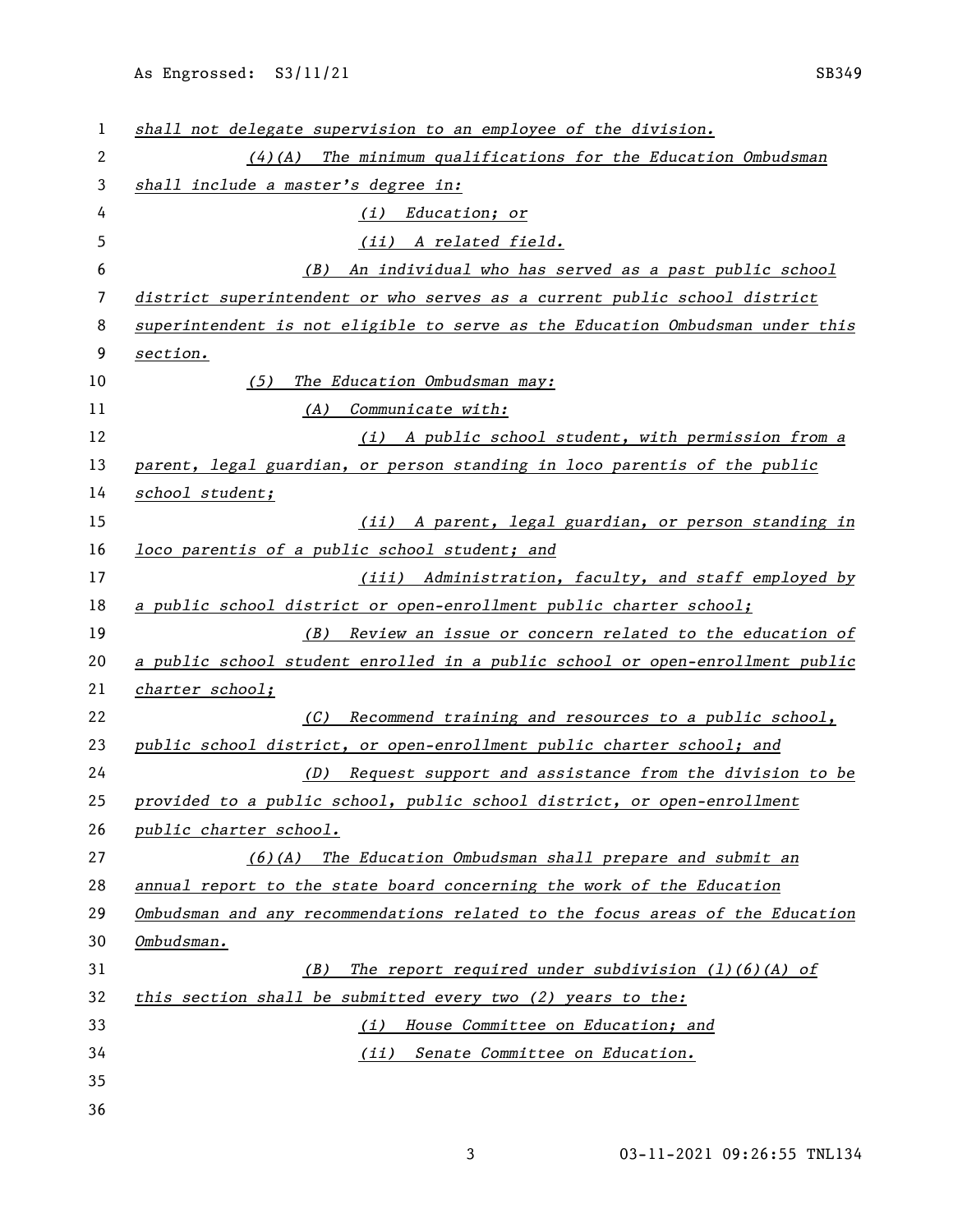| 1              | shall not delegate supervision to an employee of the division.                |
|----------------|-------------------------------------------------------------------------------|
| $\overline{c}$ | $(4)$ (A) The minimum qualifications for the Education Ombudsman              |
| 3              | shall include a master's degree in:                                           |
| 4              | Education; or<br>(i)                                                          |
| 5              | (ii) A related field.                                                         |
| 6              | An individual who has served as a past public school<br>(B)                   |
| 7              | district superintendent or who serves as a current public school district     |
| 8              | superintendent is not eligible to serve as the Education Ombudsman under this |
| 9              | section.                                                                      |
| 10             | (5)<br>The Education Ombudsman may:                                           |
| 11             | (A) Communicate with:                                                         |
| 12             | (i) A public school student, with permission from a                           |
| 13             | parent, legal guardian, or person standing in loco parentis of the public     |
| 14             | school student;                                                               |
| 15             | (ii) A parent, legal guardian, or person standing in                          |
| 16             | loco parentis of a public school student; and                                 |
| 17             | (iii) Administration, faculty, and staff employed by                          |
| 18             | a public school district or open-enrollment public charter school;            |
| 19             | (B) Review an issue or concern related to the education of                    |
| 20             | a public school student enrolled in a public school or open-enrollment public |
| 21             | charter school;                                                               |
| 22             | Recommend training and resources to a public school,<br>(C)                   |
| 23             | public school district, or open-enrollment public charter school; and         |
| 24             | (D) Request support and assistance from the division to be                    |
| 25             | provided to a public school, public school district, or open-enrollment       |
| 26             | public charter school.                                                        |
| 27             | $(6)(A)$ The Education Ombudsman shall prepare and submit an                  |
| 28             | annual report to the state board concerning the work of the Education         |
| 29             | Ombudsman and any recommendations related to the focus areas of the Education |
| 30             | Ombudsman.                                                                    |
| 31             | The report required under subdivision $(1)(6)(A)$ of<br>(B)                   |
| 32             | this section shall be submitted every two $(2)$ years to the:                 |
| 33             | House Committee on Education; and<br>(i)                                      |
| 34             | (ii) Senate Committee on Education.                                           |
| 35             |                                                                               |
| 36             |                                                                               |